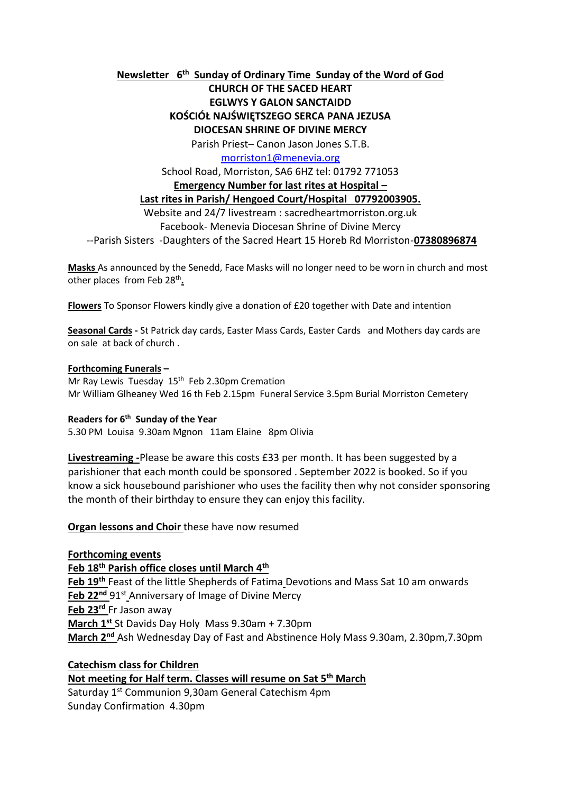# **Newsletter 6 th Sunday of Ordinary Time Sunday of the Word of God**

# **CHURCH OF THE SACED HEART EGLWYS Y GALON SANCTAIDD KOŚCIÓŁ NAJŚWIĘTSZEGO SERCA PANA JEZUSA DIOCESAN SHRINE OF DIVINE MERCY**

Parish Priest– Canon Jason Jones S.T.B.

[morriston1@menevia.org](mailto:morriston1@menevia.org)

School Road, Morriston, SA6 6HZ tel: 01792 771053

#### **Emergency Number for last rites at Hospital –**

# **Last rites in Parish/ Hengoed Court/Hospital 07792003905.**

Website and 24/7 livestream : sacredheartmorriston.org.uk Facebook- Menevia Diocesan Shrine of Divine Mercy

--Parish Sisters -Daughters of the Sacred Heart 15 Horeb Rd Morriston-**07380896874**

**Masks** As announced by the Senedd, Face Masks will no longer need to be worn in church and most other places from Feb 28<sup>th</sup>.

**Flowers** To Sponsor Flowers kindly give a donation of £20 together with Date and intention

**Seasonal Cards -** St Patrick day cards, Easter Mass Cards, Easter Cards and Mothers day cards are on sale at back of church .

#### **Forthcoming Funerals –**

Mr Ray Lewis Tuesday 15<sup>th</sup> Feb 2.30pm Cremation Mr William Glheaney Wed 16 th Feb 2.15pm Funeral Service 3.5pm Burial Morriston Cemetery

#### **Readers for 6 th Sunday of the Year**

5.30 PM Louisa 9.30am Mgnon 11am Elaine 8pm Olivia

**Livestreaming -**Please be aware this costs £33 per month. It has been suggested by a parishioner that each month could be sponsored . September 2022 is booked. So if you know a sick housebound parishioner who uses the facility then why not consider sponsoring the month of their birthday to ensure they can enjoy this facility.

#### **Organ lessons and Choir** these have now resumed

**Forthcoming events**

**Feb 18th Parish office closes until March 4th**

**Feb 19th** Feast of the little Shepherds of Fatima Devotions and Mass Sat 10 am onwards **Feb 22<sup>nd</sup>** 91<sup>st</sup> Anniversary of Image of Divine Mercy **Feb 23rd** Fr Jason away **March 1st** St Davids Day Holy Mass 9.30am + 7.30pm **March 2nd** Ash Wednesday Day of Fast and Abstinence Holy Mass 9.30am, 2.30pm,7.30pm

# **Catechism class for Children**

## **Not meeting for Half term. Classes will resume on Sat 5th March**

Saturday 1st Communion 9,30am General Catechism 4pm Sunday Confirmation 4.30pm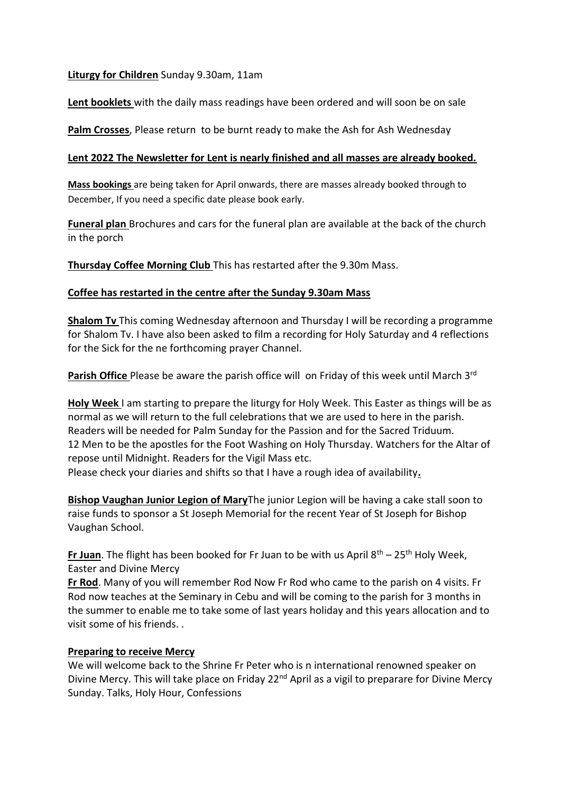## **Liturgy for Children** Sunday 9.30am, 11am

**Lent booklets** with the daily mass readings have been ordered and will soon be on sale

**Palm Crosses**, Please return to be burnt ready to make the Ash for Ash Wednesday

## **Lent 2022 The Newsletter for Lent is nearly finished and all masses are already booked.**

**Mass bookings** are being taken for April onwards, there are masses already booked through to December, If you need a specific date please book early.

**Funeral plan** Brochures and cars for the funeral plan are available at the back of the church in the porch

**Thursday Coffee Morning Club** This has restarted after the 9.30m Mass.

## **Coffee has restarted in the centre after the Sunday 9.30am Mass**

**Shalom Tv** This coming Wednesday afternoon and Thursday I will be recording a programme for Shalom Tv. I have also been asked to film a recording for Holy Saturday and 4 reflections for the Sick for the ne forthcoming prayer Channel.

**Parish Office** Please be aware the parish office will on Friday of this week until March 3rd

**Holy Week** I am starting to prepare the liturgy for Holy Week. This Easter as things will be as normal as we will return to the full celebrations that we are used to here in the parish. Readers will be needed for Palm Sunday for the Passion and for the Sacred Triduum. 12 Men to be the apostles for the Foot Washing on Holy Thursday. Watchers for the Altar of repose until Midnight. Readers for the Vigil Mass etc.

Please check your diaries and shifts so that I have a rough idea of availability**.** 

**Bishop Vaughan Junior Legion of Mary**The junior Legion will be having a cake stall soon to raise funds to sponsor a St Joseph Memorial for the recent Year of St Joseph for Bishop Vaughan School.

**Fr Juan**. The flight has been booked for Fr Juan to be with us April 8th – 25th Holy Week, Easter and Divine Mercy

**Fr Rod**. Many of you will remember Rod Now Fr Rod who came to the parish on 4 visits. Fr Rod now teaches at the Seminary in Cebu and will be coming to the parish for 3 months in the summer to enable me to take some of last years holiday and this years allocation and to visit some of his friends. .

#### **Preparing to receive Mercy**

We will welcome back to the Shrine Fr Peter who is n international renowned speaker on Divine Mercy. This will take place on Friday 22<sup>nd</sup> April as a vigil to preparare for Divine Mercy Sunday. Talks, Holy Hour, Confessions